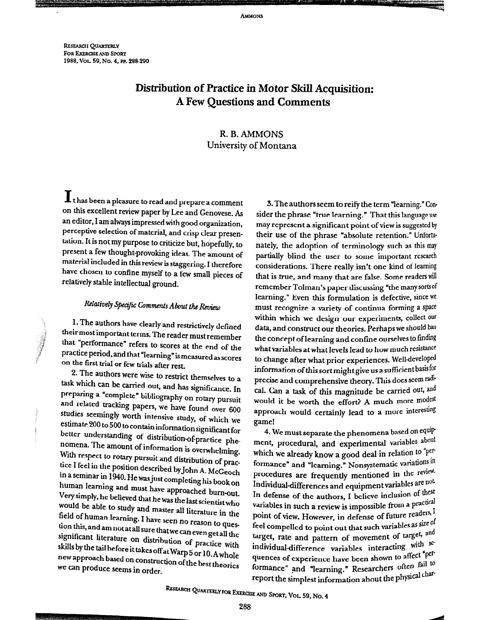**AMMONS** 

**RESEARCH OUARTERLY** FOR EXERCISE AND SPORT 1988, Vol. 59, No. 4, PP. 288-290

## Distribution of Practice in Motor Skill Acquisition: **A Few Questions and Comments**

### R. B. AMMONS University of Montana

It has been a pleasure to read and prepare a comment on this excellent review paper by Lee and Genovese. As an editor, I am always impressed with good organization, perceptive selection of material, and crisp clear presentation. It is not my purpose to criticize but, hopefully, to present a few thought-provoking ideas. The amount of material included in this review is staggering. I therefore have chosen to confine myself to a few small pieces of relatively stable intellectual ground.

### Relatively Specific Comments About the Review

1. The authors have clearly and restrictively defined their most important terms. The reader must remember that "performance" refers to scores at the end of the practice period, and that "learning" is measured as scores on the first trial or few trials after rest.

2. The authors were wise to restrict themselves to a task which can be carried out, and has significance. In preparing a "complete" bibliography on rotary pursuit and related tracking papers, we have found over 600 studies seemingly worth intensive study, of which we estimate 200 to 500 to contain information significant for better understanding of distribution-of-practice phenomena. The amount of information is overwhelming. With respect to rotary pursuit and distribution of practice I feel in the position described by John A. McGeoch in a seminar in 1940. He was just completing his book on human learning and must have approached burn-out. Very simply, he believed that he was the last scientist who would be able to study and master all literature in the field of human learning. I have seen no reason to question this, and am not at all sure that we can even get all the significant literature on distribution of practice with skills by the tail before it takes off at Warp 5 or 10. A whole new approach based on construction of the best theories we can produce seems in order.

3. The authors seem to reify the term "learning." Consider the phrase "true learning." That this language use may represent a significant point of view is suggested by their use of the phrase "absolute retention." Unfortunately, the adoption of terminology such as this may partially blind the user to some important research considerations. There really isn't one kind of learning that is true, and many that are false. Some readers will remember Tolman's paper discussing "the many sorts of learning." Even this formulation is defective, since we must recognize a variety of continua forming a space within which we design our experiments, collect our data, and construct our theories. Perhaps we should ban the concept of learning and confine ourselves to finding what variables at what levels lead to how much resistance to change after what prior experiences. Well-developed information of this sort might give us a sufficient basisfor precise and comprehensive theory. This does seem radical. Can a task of this magnitude be carried out, and would it be worth the effort? A much more modest approach would certainly lead to a more interesting game!

4. We must separate the phenomena based on equipment, procedural, and experimental variables about which we already know a good deal in relation to "performance" and "learning." Nonsystematic variations in procedures are frequently mentioned in the review. Individual-differences and equipment variables are not In defense of the authors, I believe inclusion of these variables in such a review is impossible from a practical point of view. However, in defense of future readers, I feel compelled to point out that such variables as size of target, rate and pattern of movement of target, and individual-difference variables interacting with quences of experience have been shown to affect "performance" and "learning." Researchers often fail to report the simplest information about the physical char-

RESEARCH QUARTERLY FOR EXERCISE AND SPORT, VOL 59, No. 4

288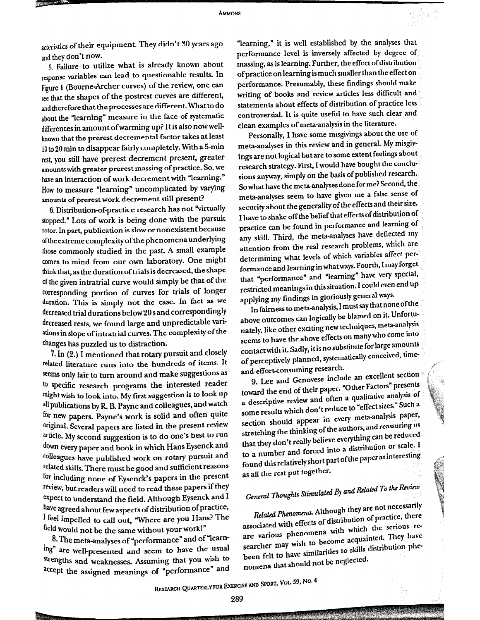acteristics of their equipment. They didn't 30 years ago and they don't now.

5. Failure to utilize what is already known about response variables can lead to questionable results. In Figure <sup>1</sup> (Bourne-Archer curves) of the review, one can see that the shapes of the postrest curves are different, and therefore that the processesare different. Whatto do about the "learning" measure in the face of systematic differences in amount of warming up? It is also now wellknown that the prerest decremental factor takes at least 10 to 20 min to disappear fairly completely. With a 5-min rest, you still have prerest decrement present, greater amounts with greater prerest massing of practice. So, we have an interaction of work decrement with "learning." How to measure "learning" uncomplicated by varying amounts of prerest work decrement still present?

6. Distribution-of-practice research has not "virtually stopped." Lots of work is being done with the pursuit rotor.In part, publication is slow or nonexistent because ofthe extreme complexity ofthe phenomenaunderlying those commonly studied in the past. A small example comes to mind from our own laboratory. One might think that, as the duration of trials is decreased, the shape of the given intratrial curve would simply be that of the corresponding portion of curves for trials of longer duration. This is simply not the case. In fact as we decreased trial durations below20sand correspondingly decreased rests, we found large and unpredictable variations in slope of intratrial curves. The complexity of the changes has puzzled us to distraction.

for including none<br>review, but readers in<br>expect to understand<br>have agreed about for<br>lead would not be to<br>include to contract and<br>ing" are well-prese<br>strengths and weak<br>accept the assigned<br>accept the assigned  $7.$  In (2.) I mentioned that rotary pursuit and closely related literature runs into the hundreds of items. It seems only fair to turn around and make suggestions as to specific research programs the interested reader might wish to look into. My first suggestion is to look up all publications by R. B. Payne and colleagues, and watch for new papers. Payne's work is solid and often quite original. Several papers are listed in the present review article. My second suggestion is to do one's best to run down every paper and book in which Hans Eysenck and colleagues have published work on rotary pursuit and related skills. There must be good and sufficient reasons for including none of Eysenck's papers in the present Teview, but readers will need to read these papersif they expect to understand the field. Although Eysenck and I have agreed about few aspects of distribution of practice, I feel impelled to call out, "Where are you Hans? The field would not be the same without your work!" ations by R. B. Payne and colleague papers. Payne's work is solid an Several papers are listed in the Jy second suggestion is to do onery paper and book in which Han Several papers are listed in the Jy second suggestion is Expect to run<br>
Expect and<br>
that they contract that they<br>
interestions found this<br>
the present as all the i<br>
apers if they<br>
senck and I General T<br>
interest and T<br>
interest associated<br>
ork!"
associated<br>
ork!"
associated<br>
ork

8. The m<br>8. The m<br>ing" are we<br>strengths as<br>accept the . 8. The meta-analyses of "performance" and of "learning" are well-presented and seem to have the usual strengths and weaknesses. Assuming that you wish to accept the assigned meanings of "performance" and

"learning," it is well established by the analyses that performance level is inversely affected by degree of massing, as is learning. Further, the effect of distribution of practice on learning is much smaller than the effect on performance. Presumably, these findings should make. writing of books and review articles less difficult and statements about effects of distribution of practice less controversial. It is quite useful to have such clear and clean examples of meta-analysis in the literature.

Personally, I have some misgivings about the use of meta-analyses in this review and in general. My mispivings are notlogical but are to some extent feelings about research strategy. First, I would have bought the conclusions anyway, simply on the basis of published research. So what have the meta-analyses done for me? Second, the meta-analyses seem to have given me a false sense of security about the generality of the effects and their size. I have to shake off the belief that effects of distribution of practice can be found in performance and learning of any skill. Third, the meta-analyses have deflected my any skill. Third, the meta-analyses have denoted by determining what levels of which variables affect performance and learning in what ways. Fourth, I may forget that "performance" and "learning" have very special, restricted meanings in this situation. I could even end up applying my findings in gloriously general ways.

In fairness to meta-analysis, <sup>I</sup> must say thatnone ofthe . above outcomes can logically be blamed on it. Unfortunately, like other exciting new techniques, meta-analysis : seems to have the above effects on many who come into contactwith it. Sadly, itisno substitute for large amounts ; of perceptively planned, systematically conceived, timeand-effort-consuming research.

Heffort-consuming research.<br>9. Lee and Genovese include an excellent section: toward the end of their paper. "Other Factors" presents a descriptive review and often a qualitative analysis of some results which don't reduce to "effect sizes." Such a section should appear in every meta-analysis paper, stretching the thinking of the authors, and reassuring us that they don't really believe everything can be reduced. to <sup>a</sup> number and forced into <sup>a</sup> distribuuon or scale. <sup>I</sup> to a number and forced into a disdited onfound this relatively short part of the paper.<br>as all the rest put together.

# General Thoughts Stimulated By and Related To the Review

Related Phenomena. Although theyare not necessarily associated with effects of distribution of practice, there are various phenomena with which the serious researcher may wish to become acquainted. They have been felt to have similarities to skills distribution phenomena that should not be neglected.

Research Quarterly for Exercise and Sport, Vol. 59, No.4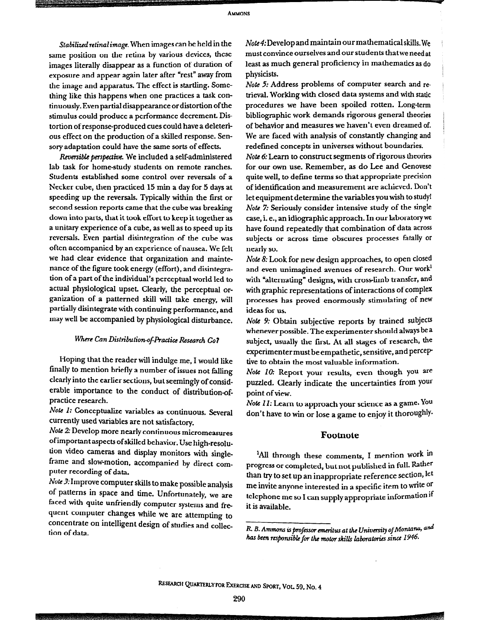Stabilized retinal image. When images can be held in the same position on the retina by various devices, these images literally disappear as a function of duration of exposure and appear again later after "rest" away from the image and apparatus. The effect is startling. Something like this happens when one practices a task continuously. Even partial disappearance or distortion of the stimulus could produce a performance decrement. Distortion of response-produced cues could have a deleterious effect on the production of a skilled response. Sensory adaptation could have the same sorts of effects.

Reversible perspective. We included a self-administered lab task for home-study students on remote ranches. Students established some control over reversals of a Necker cube, then practiced 15 min a day for 5 days at speeding up the reversals. Typically within the first or second session reports came that the cube was breaking down into parts, that it took effort to keep it together as a unitary experience of a cube, as well as to speed up its reversals. Even partial disintegration of the cube was often accompanied by an experience of nausea. We felt we had clear evidence that organization and maintenance of the figure took energy (effort), and disintegration of a part of the individual's perceptual world led to actual physiological upset. Clearly, the perceptual organization of a patterned skill will take energy, will partially disintegrate with continuing performance, and may well be accompanied by physiological disturbance.

### Where Can Distribution-of-Practice Research Go?

Hoping that the reader will indulge me, I would like finally to mention briefly a number of issues not falling clearly into the earlier sections, but seemingly of considerable importance to the conduct of distribution-ofpractice research.

Note 1: Conceptualize variables as continuous. Several currently used variables are not satisfactory.

Note 2: Develop more nearly continuous micromeasures of important aspects of skilled behavior. Use high-resolution video cameras and display monitors with singleframe and slow-motion, accompanied by direct computer recording of data.

Note 3: Improve computer skills to make possible analysis of patterns in space and time. Unfortunately, we are faced with quite unfriendly computer systems and frequent computer changes while we are attempting to concentrate on intelligent design of studies and collection of data.

*Note 4:* Develop and maintain our mathematical skills. We must convince ourselves and our students that we need at least as much general proficiency in mathematics as do physicists.

Note 5: Address problems of computer search and retrieval. Working with closed data systems and with static procedures we have been spoiled rotten. Long-term bibliographic work demands rigorous general theories of behavior and measures we haven't even dreamed of. We are faced with analysis of constantly changing and redefined concepts in universes without boundaries.

Note 6: Learn to construct segments of rigorous theories for our own use. Remember, as do Lee and Genovese quite well, to define terms so that appropriate precision of identification and measurement are achieved. Don't let equipment determine the variables you wish to study! Note 7: Seriously consider intensive study of the single case, i. e., an idiographic approach. In our laboratory we have found repeatedly that combination of data across subjects or across time obscures processes fatally or nearly so.

Note 8: Look for new design approaches, to open closed and even unimagined avenues of research. Our work $^{\rm l}$ with "alternating" designs, with cross-limb transfer, and with graphic representations of interactions of complex processes has proved enormously stimulating of new ideas for us.

Note 9: Obtain subjective reports by trained subjects whenever possible. The experimenter should always be a subject, usually the first. At all stages of research, the experimenter must be empathetic, sensitive, and perceptive to obtain the most valuable information.

Note 10: Report your results, even though you are puzzled. Clearly indicate the uncertainties from your point of view.

Note 11: Learn to approach your science as a game. You don't have to win or lose a game to enjoy it thoroughly.

#### Footnote

<sup>1</sup>All through these comments, I mention work in progress or completed, but not published in full. Rather than try to set up an inappropriate reference section, let me invite anyone interested in a specific item to write or telephone me so I can supply appropriate information if it is available.

R. B. Ammons is professor emeritus at the University of Montana, and has been responsible for the motor skills laboratories since 1946.